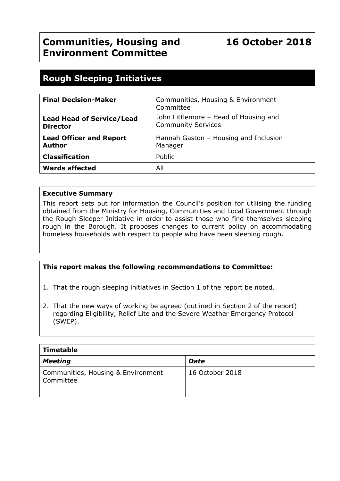# **Rough Sleeping Initiatives**

| <b>Final Decision-Maker</b>                         | Communities, Housing & Environment<br>Committee                    |
|-----------------------------------------------------|--------------------------------------------------------------------|
| <b>Lead Head of Service/Lead</b><br><b>Director</b> | John Littlemore - Head of Housing and<br><b>Community Services</b> |
| <b>Lead Officer and Report</b><br><b>Author</b>     | Hannah Gaston - Housing and Inclusion<br>Manager                   |
| <b>Classification</b>                               | Public                                                             |
| <b>Wards affected</b>                               | All                                                                |

#### **Executive Summary**

This report sets out for information the Council's position for utilising the funding obtained from the Ministry for Housing, Communities and Local Government through the Rough Sleeper Initiative in order to assist those who find themselves sleeping rough in the Borough. It proposes changes to current policy on accommodating homeless households with respect to people who have been sleeping rough.

#### **This report makes the following recommendations to Committee:**

1. That the rough sleeping initiatives in Section 1 of the report be noted.

2. That the new ways of working be agreed (outlined in Section 2 of the report) regarding Eligibility, Relief Lite and the Severe Weather Emergency Protocol (SWEP).

| Timetable                                       |                 |  |  |
|-------------------------------------------------|-----------------|--|--|
| Meeting                                         | <b>Date</b>     |  |  |
| Communities, Housing & Environment<br>Committee | 16 October 2018 |  |  |
|                                                 |                 |  |  |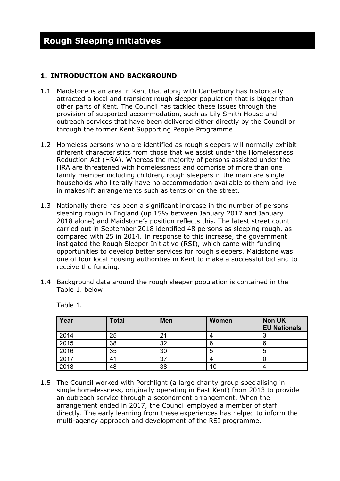#### **1. INTRODUCTION AND BACKGROUND**

- 1.1 Maidstone is an area in Kent that along with Canterbury has historically attracted a local and transient rough sleeper population that is bigger than other parts of Kent. The Council has tackled these issues through the provision of supported accommodation, such as Lily Smith House and outreach services that have been delivered either directly by the Council or through the former Kent Supporting People Programme.
- 1.2 Homeless persons who are identified as rough sleepers will normally exhibit different characteristics from those that we assist under the Homelessness Reduction Act (HRA). Whereas the majority of persons assisted under the HRA are threatened with homelessness and comprise of more than one family member including children, rough sleepers in the main are single households who literally have no accommodation available to them and live in makeshift arrangements such as tents or on the street.
- 1.3 Nationally there has been a significant increase in the number of persons sleeping rough in England (up 15% between January 2017 and January 2018 alone) and Maidstone's position reflects this. The latest street count carried out in September 2018 identified 48 persons as sleeping rough, as compared with 25 in 2014. In response to this increase, the government instigated the Rough Sleeper Initiative (RSI), which came with funding opportunities to develop better services for rough sleepers. Maidstone was one of four local housing authorities in Kent to make a successful bid and to receive the funding.
- 1.4 Background data around the rough sleeper population is contained in the Table 1. below:

| Year | <b>Total</b> | <b>Men</b> | <b>Women</b> | <b>Non UK</b><br><b>EU Nationals</b> |
|------|--------------|------------|--------------|--------------------------------------|
| 2014 | 25           |            |              |                                      |
| 2015 | 38           | 32         | 6            | 6                                    |
| 2016 | 35           | 30         | 5            | 5                                    |
| 2017 | 41           | 37         |              |                                      |
| 2018 | 48           | 38         | 10           |                                      |

Table 1.

1.5 The Council worked with Porchlight (a large charity group specialising in single homelessness, originally operating in East Kent) from 2013 to provide an outreach service through a secondment arrangement. When the arrangement ended in 2017, the Council employed a member of staff directly. The early learning from these experiences has helped to inform the multi-agency approach and development of the RSI programme.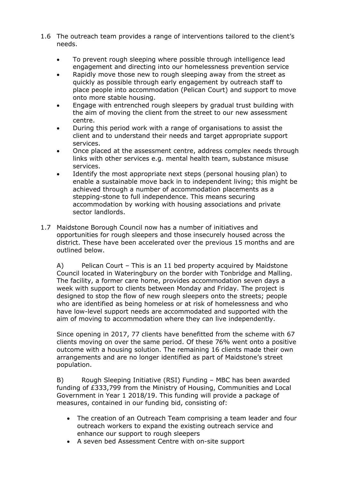- 1.6 The outreach team provides a range of interventions tailored to the client's needs.
	- To prevent rough sleeping where possible through intelligence lead engagement and directing into our homelessness prevention service
	- Rapidly move those new to rough sleeping away from the street as quickly as possible through early engagement by outreach staff to place people into accommodation (Pelican Court) and support to move onto more stable housing.
	- Engage with entrenched rough sleepers by gradual trust building with the aim of moving the client from the street to our new assessment centre.
	- During this period work with a range of organisations to assist the client and to understand their needs and target appropriate support services.
	- Once placed at the assessment centre, address complex needs through links with other services e.g. mental health team, substance misuse services.
	- Identify the most appropriate next steps (personal housing plan) to enable a sustainable move back in to independent living; this might be achieved through a number of accommodation placements as a stepping-stone to full independence. This means securing accommodation by working with housing associations and private sector landlords.
- 1.7 Maidstone Borough Council now has a number of initiatives and opportunities for rough sleepers and those insecurely housed across the district. These have been accelerated over the previous 15 months and are outlined below.

A) Pelican Court – This is an 11 bed property acquired by Maidstone Council located in Wateringbury on the border with Tonbridge and Malling. The facility, a former care home, provides accommodation seven days a week with support to clients between Monday and Friday. The project is designed to stop the flow of new rough sleepers onto the streets; people who are identified as being homeless or at risk of homelessness and who have low-level support needs are accommodated and supported with the aim of moving to accommodation where they can live independently.

Since opening in 2017, 77 clients have benefitted from the scheme with 67 clients moving on over the same period. Of these 76% went onto a positive outcome with a housing solution. The remaining 16 clients made their own arrangements and are no longer identified as part of Maidstone's street population.

B) Rough Sleeping Initiative (RSI) Funding – MBC has been awarded funding of £333,799 from the Ministry of Housing, Communities and Local Government in Year 1 2018/19. This funding will provide a package of measures, contained in our funding bid, consisting of:

- The creation of an Outreach Team comprising a team leader and four outreach workers to expand the existing outreach service and enhance our support to rough sleepers
- A seven bed Assessment Centre with on-site support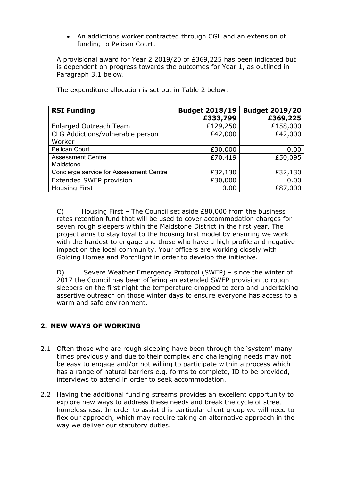An addictions worker contracted through CGL and an extension of funding to Pelican Court.

A provisional award for Year 2 2019/20 of £369,225 has been indicated but is dependent on progress towards the outcomes for Year 1, as outlined in Paragraph 3.1 below.

| <b>RSI Funding</b>                      | <b>Budget 2018/19</b><br>£333,799 | <b>Budget 2019/20</b><br>£369,225 |
|-----------------------------------------|-----------------------------------|-----------------------------------|
| Enlarged Outreach Team                  | £129,250                          | £158,000                          |
| CLG Addictions/vulnerable person        | £42,000                           | £42,000                           |
| Worker                                  |                                   |                                   |
| <b>Pelican Court</b>                    | £30,000                           | 0.00                              |
| <b>Assessment Centre</b>                | £70,419                           | £50,095                           |
| Maidstone                               |                                   |                                   |
| Concierge service for Assessment Centre | £32,130                           | £32,130                           |
| Extended SWEP provision                 | £30,000                           | 0.00                              |
| <b>Housing First</b>                    | 0.00                              | £87,000                           |

The expenditure allocation is set out in Table 2 below:

C) Housing First – The Council set aside  $£80,000$  from the business rates retention fund that will be used to cover accommodation charges for seven rough sleepers within the Maidstone District in the first year. The project aims to stay loyal to the housing first model by ensuring we work with the hardest to engage and those who have a high profile and negative impact on the local community. Your officers are working closely with Golding Homes and Porchlight in order to develop the initiative.

D) Severe Weather Emergency Protocol (SWEP) – since the winter of 2017 the Council has been offering an extended SWEP provision to rough sleepers on the first night the temperature dropped to zero and undertaking assertive outreach on those winter days to ensure everyone has access to a warm and safe environment.

# **2. NEW WAYS OF WORKING**

- 2.1 Often those who are rough sleeping have been through the 'system' many times previously and due to their complex and challenging needs may not be easy to engage and/or not willing to participate within a process which has a range of natural barriers e.g. forms to complete, ID to be provided, interviews to attend in order to seek accommodation.
- 2.2 Having the additional funding streams provides an excellent opportunity to explore new ways to address these needs and break the cycle of street homelessness. In order to assist this particular client group we will need to flex our approach, which may require taking an alternative approach in the way we deliver our statutory duties.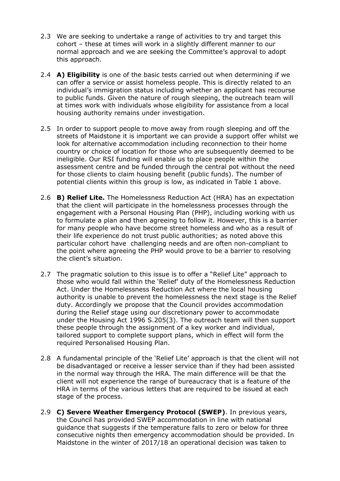- 2.3 We are seeking to undertake a range of activities to try and target this cohort – these at times will work in a slightly different manner to our normal approach and we are seeking the Committee's approval to adopt this approach.
- 2.4 **A) Eligibility** is one of the basic tests carried out when determining if we can offer a service or assist homeless people. This is directly related to an individual's immigration status including whether an applicant has recourse to public funds. Given the nature of rough sleeping, the outreach team will at times work with individuals whose eligibility for assistance from a local housing authority remains under investigation.
- 2.5 In order to support people to move away from rough sleeping and off the streets of Maidstone it is important we can provide a support offer whilst we look for alternative accommodation including reconnection to their home country or choice of location for those who are subsequently deemed to be ineligible. Our RSI funding will enable us to place people within the assessment centre and be funded through the central pot without the need for those clients to claim housing benefit (public funds). The number of potential clients within this group is low, as indicated in Table 1 above.
- 2.6 **B) Relief Lite.** The Homelessness Reduction Act (HRA) has an expectation that the client will participate in the homelessness processes through the engagement with a Personal Housing Plan (PHP), including working with us to formulate a plan and then agreeing to follow it. However, this is a barrier for many people who have become street homeless and who as a result of their life experience do not trust public authorities; as noted above this particular cohort have challenging needs and are often non-compliant to the point where agreeing the PHP would prove to be a barrier to resolving the client's situation.
- 2.7 The pragmatic solution to this issue is to offer a "Relief Lite" approach to those who would fall within the 'Relief' duty of the Homelessness Reduction Act. Under the Homelessness Reduction Act where the local housing authority is unable to prevent the homelessness the next stage is the Relief duty. Accordingly we propose that the Council provides accommodation during the Relief stage using our discretionary power to accommodate under the Housing Act 1996 S.205(3). The outreach team will then support these people through the assignment of a key worker and individual, tailored support to complete support plans, which in effect will form the required Personalised Housing Plan.
- 2.8 A fundamental principle of the 'Relief Lite' approach is that the client will not be disadvantaged or receive a lesser service than if they had been assisted in the normal way through the HRA. The main difference will be that the client will not experience the range of bureaucracy that is a feature of the HRA in terms of the various letters that are required to be issued at each stage of the process.
- 2.9 **C) Severe Weather Emergency Protocol (SWEP)**. In previous years, the Council has provided SWEP accommodation in line with national guidance that suggests if the temperature falls to zero or below for three consecutive nights then emergency accommodation should be provided. In Maidstone in the winter of 2017/18 an operational decision was taken to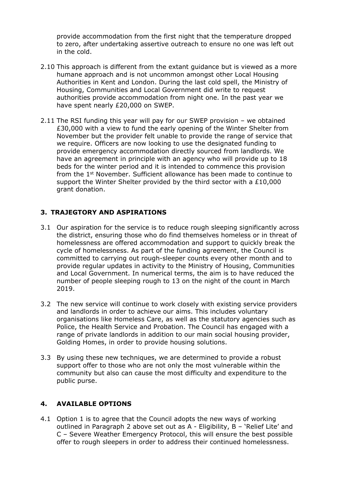provide accommodation from the first night that the temperature dropped to zero, after undertaking assertive outreach to ensure no one was left out in the cold.

- 2.10 This approach is different from the extant guidance but is viewed as a more humane approach and is not uncommon amongst other Local Housing Authorities in Kent and London. During the last cold spell, the Ministry of Housing, Communities and Local Government did write to request authorities provide accommodation from night one. In the past year we have spent nearly £20,000 on SWEP.
- 2.11 The RSI funding this year will pay for our SWEP provision we obtained £30,000 with a view to fund the early opening of the Winter Shelter from November but the provider felt unable to provide the range of service that we require. Officers are now looking to use the designated funding to provide emergency accommodation directly sourced from landlords. We have an agreement in principle with an agency who will provide up to 18 beds for the winter period and it is intended to commence this provision from the 1<sup>st</sup> November. Sufficient allowance has been made to continue to support the Winter Shelter provided by the third sector with a £10,000 grant donation.

# **3. TRAJEGTORY AND ASPIRATIONS**

- 3.1 Our aspiration for the service is to reduce rough sleeping significantly across the district, ensuring those who do find themselves homeless or in threat of homelessness are offered accommodation and support to quickly break the cycle of homelessness. As part of the funding agreement, the Council is committed to carrying out rough-sleeper counts every other month and to provide regular updates in activity to the Ministry of Housing, Communities and Local Government. In numerical terms, the aim is to have reduced the number of people sleeping rough to 13 on the night of the count in March 2019.
- 3.2 The new service will continue to work closely with existing service providers and landlords in order to achieve our aims. This includes voluntary organisations like Homeless Care, as well as the statutory agencies such as Police, the Health Service and Probation. The Council has engaged with a range of private landlords in addition to our main social housing provider, Golding Homes, in order to provide housing solutions.
- 3.3 By using these new techniques, we are determined to provide a robust support offer to those who are not only the most vulnerable within the community but also can cause the most difficulty and expenditure to the public purse.

#### **4. AVAILABLE OPTIONS**

4.1 Option 1 is to agree that the Council adopts the new ways of working outlined in Paragraph 2 above set out as A - Eligibility, B – 'Relief Lite' and C – Severe Weather Emergency Protocol, this will ensure the best possible offer to rough sleepers in order to address their continued homelessness.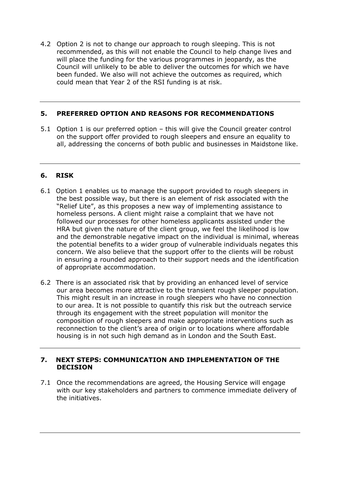4.2 Option 2 is not to change our approach to rough sleeping. This is not recommended, as this will not enable the Council to help change lives and will place the funding for the various programmes in jeopardy, as the Council will unlikely to be able to deliver the outcomes for which we have been funded. We also will not achieve the outcomes as required, which could mean that Year 2 of the RSI funding is at risk.

## **5. PREFERRED OPTION AND REASONS FOR RECOMMENDATIONS**

5.1 Option 1 is our preferred option – this will give the Council greater control on the support offer provided to rough sleepers and ensure an equality to all, addressing the concerns of both public and businesses in Maidstone like.

### **6. RISK**

- 6.1 Option 1 enables us to manage the support provided to rough sleepers in the best possible way, but there is an element of risk associated with the "Relief Lite", as this proposes a new way of implementing assistance to homeless persons. A client might raise a complaint that we have not followed our processes for other homeless applicants assisted under the HRA but given the nature of the client group, we feel the likelihood is low and the demonstrable negative impact on the individual is minimal, whereas the potential benefits to a wider group of vulnerable individuals negates this concern. We also believe that the support offer to the clients will be robust in ensuring a rounded approach to their support needs and the identification of appropriate accommodation.
- 6.2 There is an associated risk that by providing an enhanced level of service our area becomes more attractive to the transient rough sleeper population. This might result in an increase in rough sleepers who have no connection to our area. It is not possible to quantify this risk but the outreach service through its engagement with the street population will monitor the composition of rough sleepers and make appropriate interventions such as reconnection to the client's area of origin or to locations where affordable housing is in not such high demand as in London and the South East.

#### **7. NEXT STEPS: COMMUNICATION AND IMPLEMENTATION OF THE DECISION**

7.1 Once the recommendations are agreed, the Housing Service will engage with our key stakeholders and partners to commence immediate delivery of the initiatives.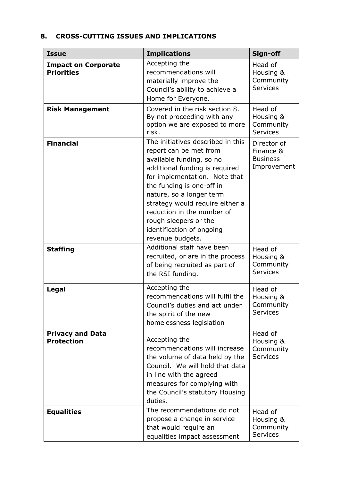# **8. CROSS-CUTTING ISSUES AND IMPLICATIONS**

| <b>Issue</b>                                    | <b>Implications</b>                                                                                                                                                                                                                                                                                                                                            | Sign-off                                                   |
|-------------------------------------------------|----------------------------------------------------------------------------------------------------------------------------------------------------------------------------------------------------------------------------------------------------------------------------------------------------------------------------------------------------------------|------------------------------------------------------------|
| <b>Impact on Corporate</b><br><b>Priorities</b> | Accepting the<br>recommendations will<br>materially improve the<br>Council's ability to achieve a<br>Home for Everyone.                                                                                                                                                                                                                                        | Head of<br>Housing &<br>Community<br><b>Services</b>       |
| <b>Risk Management</b>                          | Covered in the risk section 8.<br>By not proceeding with any<br>option we are exposed to more<br>risk.                                                                                                                                                                                                                                                         | Head of<br>Housing &<br>Community<br><b>Services</b>       |
| <b>Financial</b>                                | The initiatives described in this<br>report can be met from<br>available funding, so no<br>additional funding is required<br>for implementation. Note that<br>the funding is one-off in<br>nature, so a longer term<br>strategy would require either a<br>reduction in the number of<br>rough sleepers or the<br>identification of ongoing<br>revenue budgets. | Director of<br>Finance &<br><b>Business</b><br>Improvement |
| <b>Staffing</b>                                 | Additional staff have been<br>recruited, or are in the process<br>of being recruited as part of<br>the RSI funding.                                                                                                                                                                                                                                            | Head of<br>Housing &<br>Community<br><b>Services</b>       |
| Legal                                           | Accepting the<br>recommendations will fulfil the<br>Council's duties and act under<br>the spirit of the new<br>homelessness legislation                                                                                                                                                                                                                        | Head of<br>Housing &<br>Community<br><b>Services</b>       |
| <b>Privacy and Data</b><br><b>Protection</b>    | Accepting the<br>recommendations will increase<br>the volume of data held by the<br>Council. We will hold that data<br>in line with the agreed<br>measures for complying with<br>the Council's statutory Housing<br>duties.                                                                                                                                    | Head of<br>Housing &<br>Community<br><b>Services</b>       |
| <b>Equalities</b>                               | The recommendations do not<br>propose a change in service<br>that would require an<br>equalities impact assessment                                                                                                                                                                                                                                             | Head of<br>Housing &<br>Community<br><b>Services</b>       |